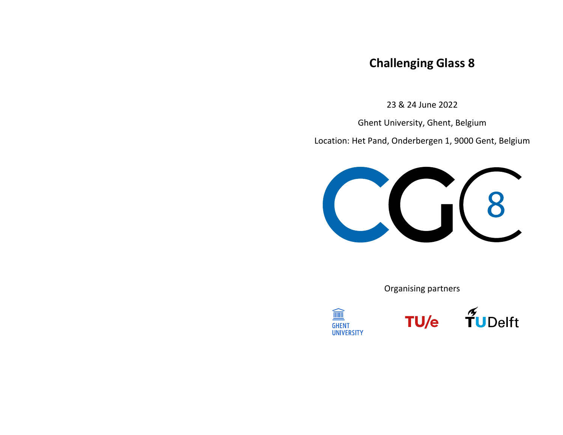## **Challenging Glass 8**

23& 24 June 2022

Ghent University, Ghent, Belgium

Location: Het Pand, Onderbergen 1, 9000 Gent, Belgium



Organising partners

TU/e



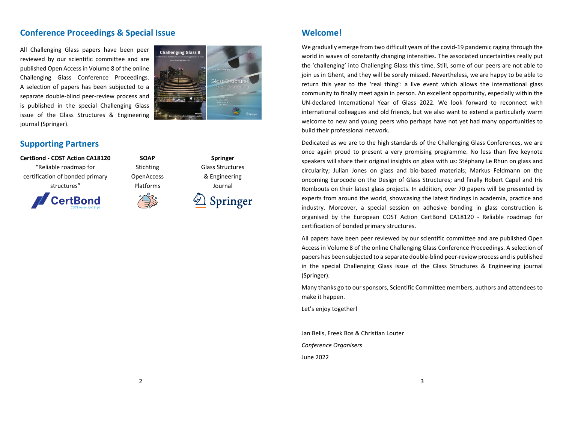#### **Conference Proceedings & Special Issue**

All Challenging Glass papers have been peer reviewed by our scientific committee and are published Open Accessin Volume 8 of the online Challenging Glass Conference Proceedings. A selection of papers has been subjected to <sup>a</sup> separate double‐blind peer‐review process and is published in the special Challenging Glass issue of the Glass Structures & Engineering journal (Springer).



### **Supporting Partners**





**SOAP**Stichting **OpenAccess** Platforms



**Springer** Glass Structures & Engineering Journal

Springer

### **Welcome!**

We gradually emerge from two difficult years of the covid‐19 pandemic raging through the world in waves of constantly changing intensities. The associated uncertainties really put the 'challenging' into Challenging Glass this time. Still, some of our peers are not able to join us in Ghent, and they will be sorely missed. Nevertheless, we are happy to be able to return this year to the 'real thing': <sup>a</sup> live event which allows the international glass community to finally meet again in person. An excellent opportunity, especially within the UN‐declared International Year of Glass 2022. We look forward to reconnect with international colleagues and old friends, but we also want to extend <sup>a</sup> particularly warm welcome to new and young peers who perhaps have not yet had many opportunities to build their professional network.

Dedicated as we are to the high standards of the Challenging Glass Conferences, we are once again proud to present <sup>a</sup> very promising programme. No less than five keynote speakers will share their original insights on glass with us: Stéphany Le Rhun on glass and circularity; Julian Jones on glass and bio‐based materials; Markus Feldmann on the oncoming Eurocode on the Design of Glass Structures; and finally Robert Capel and Iris Rombouts on their latest glass projects. In addition, over 70 papers will be presented by experts from around the world, showcasing the latest findings in academia, practice and industry. Moreover, <sup>a</sup> special session on adhesive bonding in glass construction is organised by the European COST Action CertBond CA18120 ‐ Reliable roadmap for certification of bonded primary structures.

All papers have been peer reviewed by our scientific committee and are published Open Access in Volume 8 of the online Challenging Glass Conference Proceedings. A selection of papers has been subjected to <sup>a</sup> separate double‐blind peer‐review process and is published in the special Challenging Glass issue of the Glass Structures & Engineering journal (Springer).

Many thanks go to our sponsors, Scientific Committee members, authors and attendees to make it happen.

Let's enjoy together!

Jan Belis, Freek Bos & Christian Louter *Conference Organisers* June 2022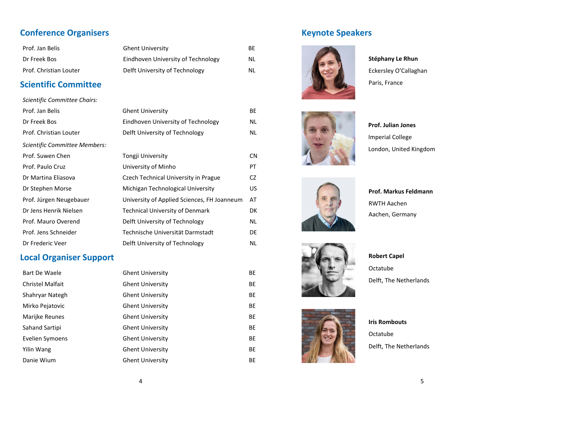### **Conference Organisers**

| Prof. Jan Belis        | <b>Ghent University</b>            | ВF |
|------------------------|------------------------------------|----|
| Dr Freek Bos           | Eindhoven University of Technology | NL |
| Prof. Christian Louter | Delft University of Technology     | NL |

### **Scientific Committee**

| Scientific Committee Chairs:  |                                             |           |
|-------------------------------|---------------------------------------------|-----------|
| Prof. Jan Belis               | <b>Ghent University</b>                     | BE        |
| Dr Freek Bos                  | Eindhoven University of Technology          | NL        |
| Prof. Christian Louter        | Delft University of Technology              | NL        |
| Scientific Committee Members: |                                             |           |
| Prof. Suwen Chen              | Tongji University                           | CN        |
| Prof. Paulo Cruz              | University of Minho                         | PT        |
| Dr Martina Eliasova           | Czech Technical University in Prague        | <b>CZ</b> |
| Dr Stephen Morse              | Michigan Technological University           | US        |
| Prof. Jürgen Neugebauer       | University of Applied Sciences, FH Joanneum | AT        |
| Dr Jens Henrik Nielsen        | Technical University of Denmark             | DK        |
| Prof. Mauro Overend           | Delft University of Technology              | ΝL        |
| Prof. Jens Schneider          | Technische Universität Darmstadt            | DE        |
| Dr Frederic Veer              | Delft University of Technology              | ΝL        |

### **Local Organiser Support**

| Bart De Waele           | <b>Ghent University</b> | BE |
|-------------------------|-------------------------|----|
| <b>Christel Malfait</b> | <b>Ghent University</b> | BE |
| Shahryar Nategh         | <b>Ghent University</b> | BE |
| Mirko Pejatovic         | <b>Ghent University</b> | BE |
| Marijke Reunes          | <b>Ghent University</b> | BE |
| Sahand Sartipi          | <b>Ghent University</b> | BE |
| Evelien Symoens         | <b>Ghent University</b> | BE |
| Yilin Wang              | <b>Ghent University</b> | BE |
| Danie Wium              | <b>Ghent University</b> | ВE |

### **Keynote Speakers**



**Stéphany Le Rhun** Eckersley O'Callaghan Paris, France







**Prof. Markus Feldmann** RWTH Aachen Aachen, Germany







**Iris Rombouts** OctatubeDelft, The Netherlands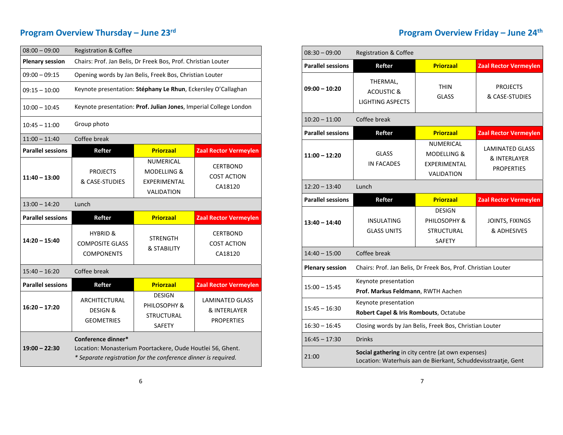## **Program Overview Thursday – June 23r<sup>d</sup>**

| $08:00 - 09:00$          | <b>Registration &amp; Coffee</b>                                   |                                                                          |                                                             |  |
|--------------------------|--------------------------------------------------------------------|--------------------------------------------------------------------------|-------------------------------------------------------------|--|
| <b>Plenary session</b>   | Chairs: Prof. Jan Belis, Dr Freek Bos, Prof. Christian Louter      |                                                                          |                                                             |  |
| $09:00 - 09:15$          | Opening words by Jan Belis, Freek Bos, Christian Louter            |                                                                          |                                                             |  |
| $09:15 - 10:00$          | Keynote presentation: Stéphany Le Rhun, Eckersley O'Callaghan      |                                                                          |                                                             |  |
| $10:00 - 10:45$          | Keynote presentation: Prof. Julian Jones, Imperial College London  |                                                                          |                                                             |  |
| $10:45 - 11:00$          | Group photo                                                        |                                                                          |                                                             |  |
| $11:00 - 11:40$          | Coffee break                                                       |                                                                          |                                                             |  |
| <b>Parallel sessions</b> | Refter                                                             | <b>Priorzaal</b>                                                         | <b>Zaal Rector Vermeylen</b>                                |  |
| $11:40 - 13:00$          | <b>PROJECTS</b><br>& CASE-STUDIES                                  | NUMERICAL<br><b>MODELLING &amp;</b><br>EXPERIMENTAL<br><b>VALIDATION</b> | <b>CERTBOND</b><br><b>COST ACTION</b><br>CA18120            |  |
|                          | Lunch                                                              |                                                                          |                                                             |  |
| $13:00 - 14:20$          |                                                                    |                                                                          |                                                             |  |
| <b>Parallel sessions</b> | Refter                                                             | <b>Priorzaal</b>                                                         | <b>Zaal Rector Vermeylen</b>                                |  |
| $14:20 - 15:40$          | <b>HYBRID &amp;</b><br><b>COMPOSITE GLASS</b><br><b>COMPONENTS</b> | <b>STRENGTH</b><br>& STABILITY                                           | <b>CERTBOND</b><br><b>COST ACTION</b><br>CA18120            |  |
| $15:40 - 16:20$          | Coffee break                                                       |                                                                          |                                                             |  |
| <b>Parallel sessions</b> | Refter                                                             | <b>Priorzaal</b>                                                         | <b>Zaal Rector Vermeylen</b>                                |  |
| $16:20 - 17:20$          | <b>ARCHITECTURAL</b><br><b>DESIGN &amp;</b><br><b>GEOMETRIES</b>   | <b>DESIGN</b><br>PHILOSOPHY &<br><b>STRUCTURAL</b><br>SAFETY             | <b>LAMINATED GLASS</b><br>& INTERLAYER<br><b>PROPERTIES</b> |  |

## **Program Overview Friday – June 24th**

| $08:30 - 09:00$          | <b>Registration &amp; Coffee</b>                                                                                   |                                                                     |                                                             |
|--------------------------|--------------------------------------------------------------------------------------------------------------------|---------------------------------------------------------------------|-------------------------------------------------------------|
| <b>Parallel sessions</b> | Refter                                                                                                             | <b>Priorzaal</b>                                                    | <b>Zaal Rector Vermeylen</b>                                |
| $09:00 - 10:20$          | THERMAL,<br><b>ACOUSTIC &amp;</b><br><b>LIGHTING ASPECTS</b>                                                       | <b>THIN</b><br><b>GLASS</b>                                         | <b>PROJECTS</b><br>& CASE-STUDIES                           |
| $10:20 - 11:00$          | Coffee break                                                                                                       |                                                                     |                                                             |
| <b>Parallel sessions</b> | Refter                                                                                                             | <b>Priorzaal</b>                                                    | <b>Zaal Rector Vermeylen</b>                                |
| $11:00 - 12:20$          | <b>GLASS</b><br><b>IN FACADES</b>                                                                                  | NUMERICAL<br>MODELLING &<br>EXPERIMENTAL<br><b>VALIDATION</b>       | <b>LAMINATED GLASS</b><br>& INTERLAYER<br><b>PROPERTIES</b> |
| $12:20 - 13:40$          | Lunch                                                                                                              |                                                                     |                                                             |
| <b>Parallel sessions</b> | Refter                                                                                                             | <b>Priorzaal</b>                                                    | <b>Zaal Rector Vermeylen</b>                                |
| $13:40 - 14:40$          | <b>INSULATING</b><br><b>GLASS UNITS</b>                                                                            | <b>DESIGN</b><br>PHILOSOPHY &<br><b>STRUCTURAL</b><br><b>SAFETY</b> | JOINTS, FIXINGS<br>& ADHESIVES                              |
| $14:40 - 15:00$          | Coffee break                                                                                                       |                                                                     |                                                             |
| <b>Plenary session</b>   | Chairs: Prof. Jan Belis, Dr Freek Bos, Prof. Christian Louter                                                      |                                                                     |                                                             |
| $15:00 - 15:45$          | Keynote presentation<br>Prof. Markus Feldmann, RWTH Aachen                                                         |                                                                     |                                                             |
| $15:45 - 16:30$          | Keynote presentation<br>Robert Capel & Iris Rombouts, Octatube                                                     |                                                                     |                                                             |
| $16:30 - 16:45$          | Closing words by Jan Belis, Freek Bos, Christian Louter                                                            |                                                                     |                                                             |
| $16:45 - 17:30$          | <b>Drinks</b>                                                                                                      |                                                                     |                                                             |
| 21:00                    | Social gathering in city centre (at own expenses)<br>Location: Waterhuis aan de Bierkant, Schuddevisstraatje, Gent |                                                                     |                                                             |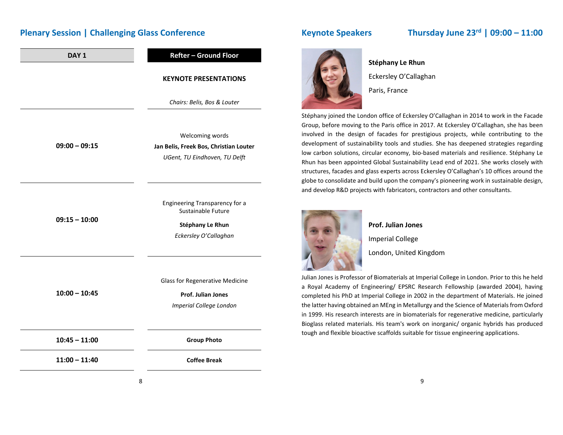### **Plenary Session | Challenging Glass Conference**

| DAY <sub>1</sub> | <b>Refter - Ground Floor</b>                                                                             |  |
|------------------|----------------------------------------------------------------------------------------------------------|--|
|                  | <b>KEYNOTE PRESENTATIONS</b>                                                                             |  |
|                  | Chairs: Belis, Bos & Louter                                                                              |  |
| $09:00 - 09:15$  | Welcoming words<br>Jan Belis, Freek Bos, Christian Louter<br>UGent, TU Eindhoven, TU Delft               |  |
| $09:15 - 10:00$  | <b>Engineering Transparency for a</b><br>Sustainable Future<br>Stéphany Le Rhun<br>Eckersley O'Callaghan |  |
| $10:00 - 10:45$  | <b>Glass for Regenerative Medicine</b><br>Prof. Julian Jones<br>Imperial College London                  |  |
| $10:45 - 11:00$  | <b>Group Photo</b>                                                                                       |  |
| $11:00 - 11:40$  | <b>Coffee Break</b>                                                                                      |  |

### **Keynote Speakers Thursday June 23r<sup>d</sup> | 09:00 – 11:00**



#### **Stéphany Le Rhun**

Eckersley O'Callaghan

Paris, France

Stéphany joined the London office of Eckersley O'Callaghan in 2014 to work in the Facade Group, before moving to the Paris office in 2017. At Eckersley O'Callaghan, she has been involved in the design of facades for prestigious projects, while contributing to the development of sustainability tools and studies. She has deepened strategies regarding low carbon solutions, circular economy, bio‐based materials and resilience. Stéphany Le Rhun has been appointed Global Sustainability Lead end of 2021. She works closely with structures, facades and glass experts across Eckersley O'Callaghan's 10 offices around the globe to consolidate and build upon the company's pioneering work in sustainable design, and develop R&D projects with fabricators, contractors and other consultants.



### **Prof. Julian Jones**

Imperial College

London, United Kingdom

Julian Jones is Professor of Biomaterials at Imperial College in London. Prior to this he held a Royal Academy of Engineering/ EPSRC Research Fellowship (awarded 2004), having completed his PhD at Imperial College in 2002 in the department of Materials. He joined the latter having obtained an MEng in Metallurgy and the Science of Materialsfrom Oxford in 1999. His research interests are in biomaterials for regenerative medicine, particularly Bioglass related materials. His team's work on inorganic/ organic hybrids has produced tough and flexible bioactive scaffolds suitable for tissue engineering applications.

8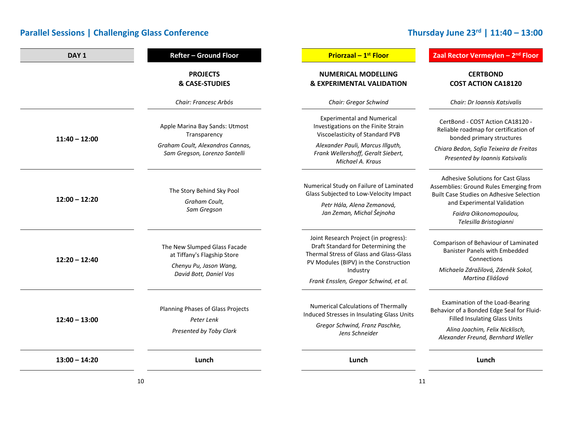# **Thursday June 23r<sup>d</sup> | 11:40 – 13:00**

| DAY <sub>1</sub> | <b>Refter - Ground Floor</b>                                                       | <b>Priorzaal - 1st Floor</b>                                                                                                                                    | Zaal Rector Vermeylen - 2 <sup>nd</sup> Floor                                                                                                                                                              |
|------------------|------------------------------------------------------------------------------------|-----------------------------------------------------------------------------------------------------------------------------------------------------------------|------------------------------------------------------------------------------------------------------------------------------------------------------------------------------------------------------------|
|                  | <b>PROJECTS</b><br><b>&amp; CASE-STUDIES</b>                                       | <b>NUMERICAL MODELLING</b><br><b>&amp; EXPERIMENTAL VALIDATION</b>                                                                                              | <b>CERTBOND</b><br><b>COST ACTION CA18120</b>                                                                                                                                                              |
|                  | Chair: Francesc Arbós                                                              | Chair: Gregor Schwind                                                                                                                                           | Chair: Dr Ioannis Katsivalis                                                                                                                                                                               |
| $11:40 - 12:00$  | Apple Marina Bay Sands: Utmost<br>Transparency<br>Graham Coult, Alexandros Cannas, | <b>Experimental and Numerical</b><br>Investigations on the Finite Strain<br>Viscoelasticity of Standard PVB<br>Alexander Pauli, Marcus Illguth,                 | CertBond - COST Action CA18120 -<br>Reliable roadmap for certification of<br>bonded primary structures                                                                                                     |
|                  | Sam Gregson, Lorenzo Santelli                                                      | Frank Wellershoff, Geralt Siebert,<br>Michael A. Kraus                                                                                                          | Chiara Bedon, Sofia Teixeira de Freitas<br>Presented by Ioannis Katsivalis                                                                                                                                 |
| $12:00 - 12:20$  | The Story Behind Sky Pool<br>Graham Coult,<br>Sam Gregson                          | Numerical Study on Failure of Laminated<br>Glass Subjected to Low-Velocity Impact<br>Petr Hála, Alena Zemanová,<br>Jan Zeman, Michal Šejnoha                    | Adhesive Solutions for Cast Glass<br>Assemblies: Ground Rules Emerging from<br>Built Case Studies on Adhesive Selection<br>and Experimental Validation<br>Faidra Oikonomopoulou,<br>Telesilla Bristogianni |
| $12:20 - 12:40$  | The New Slumped Glass Facade<br>at Tiffany's Flagship Store                        | Joint Research Project (in progress):<br>Draft Standard for Determining the<br>Thermal Stress of Glass and Glass-Glass<br>PV Modules (BIPV) in the Construction | Comparison of Behaviour of Laminated<br><b>Banister Panels with Embedded</b><br>Connections                                                                                                                |
|                  | Chenyu Pu, Jason Wang,<br>David Bott, Daniel Vos                                   | Industry<br>Frank Ensslen, Gregor Schwind, et al.                                                                                                               | Michaela Zdražilová, Zdeněk Sokol,<br>Martina Eliášová                                                                                                                                                     |
| $12:40 - 13:00$  | Planning Phases of Glass Projects<br>Peter Lenk<br>Presented by Toby Clark         | <b>Numerical Calculations of Thermally</b><br>Induced Stresses in Insulating Glass Units<br>Gregor Schwind, Franz Paschke,<br>Jens Schneider                    | Examination of the Load-Bearing<br>Behavior of a Bonded Edge Seal for Fluid-<br><b>Filled Insulating Glass Units</b><br>Alina Joachim, Felix Nicklisch,<br>Alexander Freund, Bernhard Weller               |
| $13:00 - 14:20$  | Lunch                                                                              | Lunch                                                                                                                                                           | Lunch                                                                                                                                                                                                      |
|                  | 10                                                                                 |                                                                                                                                                                 | 11                                                                                                                                                                                                         |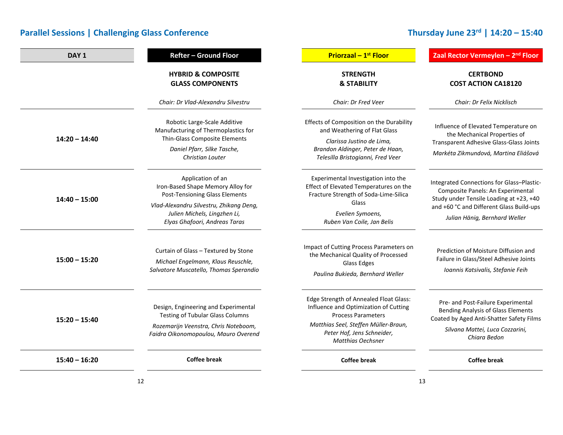# **Thursday June 23r<sup>d</sup> | 14:20 – 15:40**

| DAY <sub>1</sub> | <b>Refter - Ground Floor</b>                                                                                                                                                                                | <b>Priorzaal - 1st Floor</b>                                                                                                                                                                                   | Zaal Rector Vermeylen - 2 <sup>nd</sup> Floor                                                                                                                                                          |
|------------------|-------------------------------------------------------------------------------------------------------------------------------------------------------------------------------------------------------------|----------------------------------------------------------------------------------------------------------------------------------------------------------------------------------------------------------------|--------------------------------------------------------------------------------------------------------------------------------------------------------------------------------------------------------|
|                  | <b>HYBRID &amp; COMPOSITE</b><br><b>GLASS COMPONENTS</b>                                                                                                                                                    | <b>STRENGTH</b><br><b>&amp; STABILITY</b>                                                                                                                                                                      | <b>CERTBOND</b><br><b>COST ACTION CA18120</b>                                                                                                                                                          |
|                  | Chair: Dr Vlad-Alexandru Silvestru                                                                                                                                                                          | Chair: Dr Fred Veer                                                                                                                                                                                            | Chair: Dr Felix Nicklisch                                                                                                                                                                              |
| $14:20 - 14:40$  | Robotic Large-Scale Additive<br>Manufacturing of Thermoplastics for<br>Thin-Glass Composite Elements<br>Daniel Pfarr, Silke Tasche,<br>Christian Louter                                                     | Effects of Composition on the Durability<br>and Weathering of Flat Glass<br>Clarissa Justino de Lima,<br>Brandon Aldinger, Peter de Haan,<br>Telesilla Bristogianni, Fred Veer                                 | Influence of Elevated Temperature on<br>the Mechanical Properties of<br><b>Transparent Adhesive Glass-Glass Joints</b><br>Markéta Zikmundová, Martina Eliášová                                         |
| $14:40 - 15:00$  | Application of an<br>Iron-Based Shape Memory Alloy for<br><b>Post-Tensioning Glass Elements</b><br>Vlad-Alexandru Silvestru, Zhikang Deng,<br>Julien Michels, Lingzhen Li,<br>Elyas Ghafoori, Andreas Taras | Experimental Investigation into the<br>Effect of Elevated Temperatures on the<br>Fracture Strength of Soda-Lime-Silica<br>Glass<br>Evelien Symoens,<br>Ruben Van Coile, Jan Belis                              | Integrated Connections for Glass-Plastic-<br>Composite Panels: An Experimental<br>Study under Tensile Loading at +23, +40<br>and +60 °C and Different Glass Build-ups<br>Julian Hänig, Bernhard Weller |
| $15:00 - 15:20$  | Curtain of Glass - Textured by Stone<br>Michael Engelmann, Klaus Reuschle,<br>Salvatore Muscatello, Thomas Sperandio                                                                                        | Impact of Cutting Process Parameters on<br>the Mechanical Quality of Processed<br>Glass Edges<br>Paulina Bukieda, Bernhard Weller                                                                              | Prediction of Moisture Diffusion and<br>Failure in Glass/Steel Adhesive Joints<br>Ioannis Katsivalis, Stefanie Feih                                                                                    |
| $15:20 - 15:40$  | Design, Engineering and Experimental<br><b>Testing of Tubular Glass Columns</b><br>Rozemarijn Veenstra, Chris Noteboom,<br>Faidra Oikonomopoulou, Mauro Overend                                             | Edge Strength of Annealed Float Glass:<br>Influence and Optimization of Cutting<br><b>Process Parameters</b><br>Matthias Seel, Steffen Müller-Braun,<br>Peter Hof, Jens Schneider,<br><b>Matthias Oechsner</b> | Pre- and Post-Failure Experimental<br><b>Bending Analysis of Glass Elements</b><br>Coated by Aged Anti-Shatter Safety Films<br>Silvana Mattei, Luca Cozzarini,<br>Chiara Bedon                         |
| $15:40 - 16:20$  | <b>Coffee break</b>                                                                                                                                                                                         | <b>Coffee break</b>                                                                                                                                                                                            | <b>Coffee break</b>                                                                                                                                                                                    |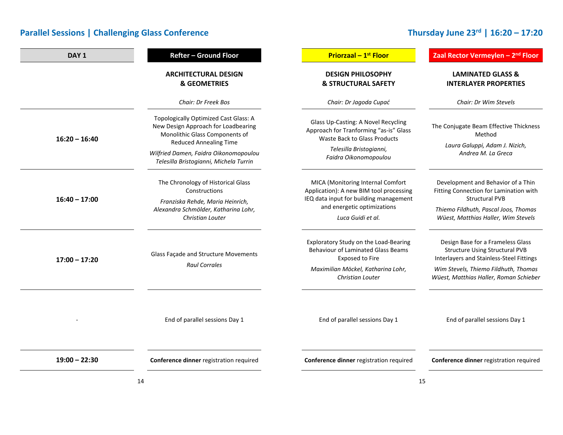# **Thursday June 23r<sup>d</sup> | 16:20 – 17:20**

| DAY <sub>1</sub> | <b>Refter - Ground Floor</b>                                                                                                                                                                                                              | <b>Priorzaal - 1st Floor</b>                                                                                                                                               | Zaal Rector Vermeylen - 2 <sup>nd</sup> Floor                                                                                                                                                            |
|------------------|-------------------------------------------------------------------------------------------------------------------------------------------------------------------------------------------------------------------------------------------|----------------------------------------------------------------------------------------------------------------------------------------------------------------------------|----------------------------------------------------------------------------------------------------------------------------------------------------------------------------------------------------------|
|                  | <b>ARCHITECTURAL DESIGN</b><br><b>&amp; GEOMETRIES</b>                                                                                                                                                                                    | <b>DESIGN PHILOSOPHY</b><br><b>&amp; STRUCTURAL SAFETY</b>                                                                                                                 | <b>LAMINATED GLASS &amp;</b><br><b>INTERLAYER PROPERTIES</b>                                                                                                                                             |
|                  | Chair: Dr Freek Bos                                                                                                                                                                                                                       | Chair: Dr Jagoda Cupać                                                                                                                                                     | Chair: Dr Wim Stevels                                                                                                                                                                                    |
| $16:20 - 16:40$  | <b>Topologically Optimized Cast Glass: A</b><br>New Design Approach for Loadbearing<br>Monolithic Glass Components of<br><b>Reduced Annealing Time</b><br>Wilfried Damen, Faidra Oikonomopoulou<br>Telesilla Bristogianni, Michela Turrin | Glass Up-Casting: A Novel Recycling<br>Approach for Tranforming "as-is" Glass<br><b>Waste Back to Glass Products</b><br>Telesilla Bristogianni,<br>Faidra Oikonomopoulou   | The Conjugate Beam Effective Thickness<br>Method<br>Laura Galuppi, Adam J. Nizich,<br>Andrea M. La Greca                                                                                                 |
| $16:40 - 17:00$  | The Chronology of Historical Glass<br>Constructions<br>Franziska Rehde, Maria Heinrich,<br>Alexandra Schmölder, Katharina Lohr,<br>Christian Louter                                                                                       | MICA (Monitoring Internal Comfort<br>Application): A new BIM tool processing<br>IEQ data input for building management<br>and energetic optimizations<br>Luca Guidi et al. | Development and Behavior of a Thin<br>Fitting Connection for Lamination with<br><b>Structural PVB</b><br>Thiemo Fildhuth, Pascal Joos, Thomas<br>Wüest, Matthias Haller, Wim Stevels                     |
| $17:00 - 17:20$  | Glass Façade and Structure Movements<br><b>Raul Corrales</b>                                                                                                                                                                              | Exploratory Study on the Load-Bearing<br><b>Behaviour of Laminated Glass Beams</b><br>Exposed to Fire<br>Maximilian Möckel, Katharina Lohr,<br>Christian Louter            | Design Base for a Frameless Glass<br><b>Structure Using Structural PVB</b><br>Interlayers and Stainless-Steel Fittings<br>Wim Stevels, Thiemo Fildhuth, Thomas<br>Wüest, Matthias Haller, Roman Schieber |
|                  | End of parallel sessions Day 1                                                                                                                                                                                                            | End of parallel sessions Day 1                                                                                                                                             | End of parallel sessions Day 1                                                                                                                                                                           |
| $19:00 - 22:30$  | Conference dinner registration required                                                                                                                                                                                                   | Conference dinner registration required                                                                                                                                    | Conference dinner registration required                                                                                                                                                                  |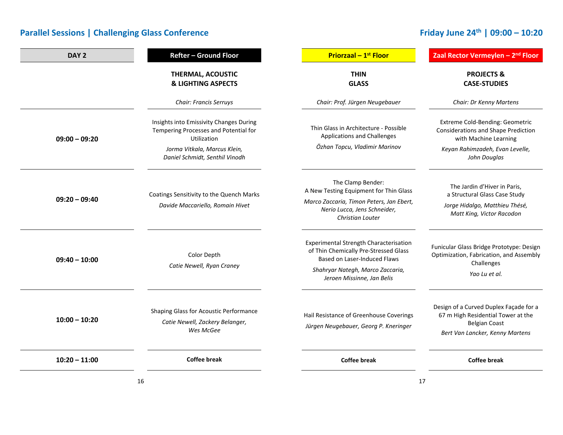# **Friday June 24th | 09:00 – 10:20**

| DAY <sub>2</sub> | Refter - Ground Floor                                                                                                           | <b>Priorzaal - 1st Floor</b>                                                                                                                                                                    | Zaal Rector Vermeylen - 2 <sup>nd</sup> Floor                                                                                             |
|------------------|---------------------------------------------------------------------------------------------------------------------------------|-------------------------------------------------------------------------------------------------------------------------------------------------------------------------------------------------|-------------------------------------------------------------------------------------------------------------------------------------------|
|                  | THERMAL, ACOUSTIC<br><b>&amp; LIGHTING ASPECTS</b>                                                                              | <b>THIN</b><br><b>GLASS</b>                                                                                                                                                                     | <b>PROJECTS &amp;</b><br><b>CASE-STUDIES</b>                                                                                              |
|                  | <b>Chair: Francis Serruys</b>                                                                                                   | Chair: Prof. Jürgen Neugebauer                                                                                                                                                                  | Chair: Dr Kenny Martens                                                                                                                   |
| $09:00 - 09:20$  | Insights into Emissivity Changes During<br>Tempering Processes and Potential for<br>Utilization<br>Jorma Vitkala, Marcus Klein, | Thin Glass in Architecture - Possible<br>Applications and Challenges<br>Özhan Topcu, Vladimir Marinov                                                                                           | Extreme Cold-Bending: Geometric<br><b>Considerations and Shape Prediction</b><br>with Machine Learning<br>Keyan Rahimzadeh, Evan Levelle, |
|                  | Daniel Schmidt, Senthil Vinodh                                                                                                  |                                                                                                                                                                                                 | John Douglas                                                                                                                              |
| $09:20 - 09:40$  | Coatings Sensitivity to the Quench Marks<br>Davide Maccariello, Romain Hivet                                                    | The Clamp Bender:<br>A New Testing Equipment for Thin Glass<br>Marco Zaccaria, Timon Peters, Jan Ebert,<br>Nerio Lucca, Jens Schneider,<br><b>Christian Louter</b>                              | The Jardin d'Hiver in Paris,<br>a Structural Glass Case Study<br>Jorge Hidalgo, Matthieu Thésé,<br>Matt King, Victor Racodon              |
| $09:40 - 10:00$  | Color Depth<br>Catie Newell, Ryan Craney                                                                                        | <b>Experimental Strength Characterisation</b><br>of Thin Chemically Pre-Stressed Glass<br><b>Based on Laser-Induced Flaws</b><br>Shahryar Nategh, Marco Zaccaria,<br>Jeroen Missinne, Jan Belis | Funicular Glass Bridge Prototype: Design<br>Optimization, Fabrication, and Assembly<br>Challenges<br>Yao Lu et al.                        |
| $10:00 - 10:20$  | Shaping Glass for Acoustic Performance<br>Catie Newell, Zackery Belanger,<br>Wes McGee                                          | Hail Resistance of Greenhouse Coverings<br>Jürgen Neugebauer, Georg P. Kneringer                                                                                                                | Design of a Curved Duplex Façade for a<br>67 m High Residential Tower at the<br><b>Belgian Coast</b><br>Bert Van Lancker, Kenny Martens   |
| $10:20 - 11:00$  | <b>Coffee break</b>                                                                                                             | <b>Coffee break</b>                                                                                                                                                                             | <b>Coffee break</b>                                                                                                                       |
|                  | 16                                                                                                                              |                                                                                                                                                                                                 | 17                                                                                                                                        |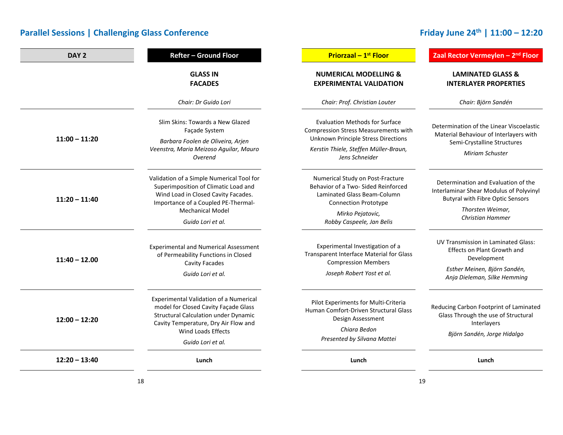# **Friday June 24th | 11:00 – 12:20**

| DAY <sub>2</sub> | <b>Refter - Ground Floor</b>                                                                                                                                                                                                   | <b>Priorzaal - 1st Floor</b>                                                                                                                                                                  | Zaal Rector Vermeylen - 2 <sup>nd</sup> Floor                                                                                                                            |
|------------------|--------------------------------------------------------------------------------------------------------------------------------------------------------------------------------------------------------------------------------|-----------------------------------------------------------------------------------------------------------------------------------------------------------------------------------------------|--------------------------------------------------------------------------------------------------------------------------------------------------------------------------|
|                  | <b>GLASS IN</b><br><b>FACADES</b>                                                                                                                                                                                              | <b>NUMERICAL MODELLING &amp;</b><br><b>EXPERIMENTAL VALIDATION</b>                                                                                                                            | <b>LAMINATED GLASS &amp;</b><br><b>INTERLAYER PROPERTIES</b>                                                                                                             |
|                  | Chair: Dr Guido Lori                                                                                                                                                                                                           | Chair: Prof. Christian Louter                                                                                                                                                                 | Chair: Björn Sandén                                                                                                                                                      |
| $11:00 - 11:20$  | Slim Skins: Towards a New Glazed<br>Façade System<br>Barbara Foolen de Oliveira, Arjen<br>Veenstra, Maria Meizoso Aguilar, Mauro<br>Overend                                                                                    | <b>Evaluation Methods for Surface</b><br><b>Compression Stress Measurements with</b><br><b>Unknown Principle Stress Directions</b><br>Kerstin Thiele, Steffen Müller-Braun,<br>Jens Schneider | Determination of the Linear Viscoelastic<br>Material Behaviour of Interlayers with<br>Semi-Crystalline Structures<br>Miriam Schuster                                     |
| $11:20 - 11:40$  | Validation of a Simple Numerical Tool for<br>Superimposition of Climatic Load and<br>Wind Load in Closed Cavity Facades.<br>Importance of a Coupled PE-Thermal-<br><b>Mechanical Model</b><br>Guido Lori et al.                | Numerical Study on Post-Fracture<br>Behavior of a Two- Sided Reinforced<br>Laminated Glass Beam-Column<br><b>Connection Prototype</b><br>Mirko Pejatovic,<br>Robby Caspeele, Jan Belis        | Determination and Evaluation of the<br>Interlaminar Shear Modulus of Polyvinyl<br><b>Butyral with Fibre Optic Sensors</b><br>Thorsten Weimar,<br><b>Christian Hammer</b> |
| $11:40 - 12.00$  | <b>Experimental and Numerical Assessment</b><br>of Permeability Functions in Closed<br>Cavity Facades<br>Guido Lori et al.                                                                                                     | Experimental Investigation of a<br>Transparent Interface Material for Glass<br><b>Compression Members</b><br>Joseph Robert Yost et al.                                                        | <b>UV Transmission in Laminated Glass:</b><br>Effects on Plant Growth and<br>Development<br>Esther Meinen, Björn Sandén,<br>Anja Dieleman, Silke Hemming                 |
| $12:00 - 12:20$  | <b>Experimental Validation of a Numerical</b><br>model for Closed Cavity Façade Glass<br><b>Structural Calculation under Dynamic</b><br>Cavity Temperature, Dry Air Flow and<br><b>Wind Loads Effects</b><br>Guido Lori et al. | Pilot Experiments for Multi-Criteria<br>Human Comfort-Driven Structural Glass<br>Design Assessment<br>Chiara Bedon<br>Presented by Silvana Mattei                                             | Reducing Carbon Footprint of Laminated<br>Glass Through the use of Structural<br>Interlayers<br>Björn Sandén, Jorge Hidalgo                                              |
| $12:20 - 13:40$  | Lunch                                                                                                                                                                                                                          | Lunch                                                                                                                                                                                         | Lunch                                                                                                                                                                    |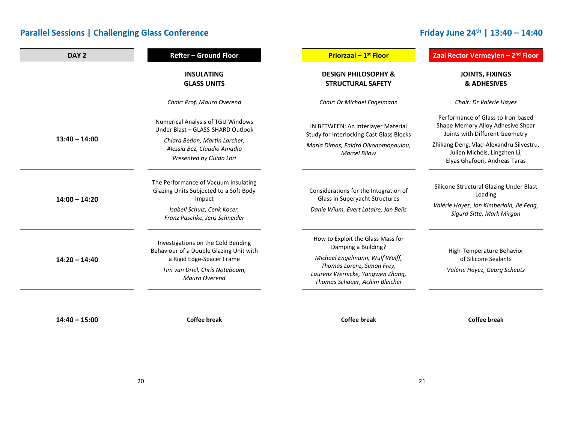## **Friday June 24th | 13:40 – 14:40**

| DAY <sub>2</sub> | Refter - Ground Floor                                                                                                                                                | <b>Priorzaal - 1st Floor</b>                                                                                                                                                                   | Zaal Rector Vermeylen - 2 <sup>nd</sup> Floor                                                                               |
|------------------|----------------------------------------------------------------------------------------------------------------------------------------------------------------------|------------------------------------------------------------------------------------------------------------------------------------------------------------------------------------------------|-----------------------------------------------------------------------------------------------------------------------------|
|                  | <b>INSULATING</b><br><b>GLASS UNITS</b>                                                                                                                              | <b>DESIGN PHILOSOPHY &amp;</b><br><b>STRUCTURAL SAFETY</b>                                                                                                                                     | <b>JOINTS, FIXINGS</b><br><b>&amp; ADHESIVES</b>                                                                            |
|                  | Chair: Prof. Mauro Overend                                                                                                                                           | Chair: Dr Michael Engelmann                                                                                                                                                                    | Chair: Dr Valérie Hayez                                                                                                     |
| $13:40 - 14:00$  | Numerical Analysis of TGU Windows<br>Under Blast - GLASS-SHARD Outlook                                                                                               | IN BETWEEN: An Interlayer Material<br><b>Study for Interlocking Cast Glass Blocks</b>                                                                                                          | Performance of Glass to Iron-based<br>Shape Memory Alloy Adhesive Shear<br>Joints with Different Geometry                   |
|                  | Chiara Bedon, Martin Larcher,<br>Alessia Bez, Claudio Amadio<br>Presented by Guido Lori                                                                              | Maria Dimas, Faidra Oikonomopoulou,<br><b>Marcel Bilow</b>                                                                                                                                     | Zhikang Deng, Vlad-Alexandru Silvestru,<br>Julien Michels, Lingzhen Li,<br>Elyas Ghafoori, Andreas Taras                    |
| $14:00 - 14:20$  | The Performance of Vacuum Insulating<br>Glazing Units Subjected to a Soft Body<br>Impact<br>Isabell Schulz, Cenk Kocer,<br>Franz Paschke, Jens Schneider             | Considerations for the Integration of<br>Glass in Superyacht Structures<br>Danie Wium, Evert Lataire, Jan Belis                                                                                | Silicone Structural Glazing Under Blast<br>Loading<br>Valérie Hayez, Jon Kimberlain, Jie Feng,<br>Sigurd Sitte, Mark Mirgon |
| $14:20 - 14:40$  | Investigations on the Cold Bending<br>Behaviour of a Double Glazing Unit with<br>a Rigid Edge-Spacer Frame<br>Tim van Driel, Chris Noteboom,<br><b>Mauro Overend</b> | How to Exploit the Glass Mass for<br>Damping a Building?<br>Michael Engelmann, Wulf Wulff,<br>Thomas Lorenz, Simon Frey,<br>Laurenz Wernicke, Yangwen Zhang,<br>Thomas Schauer, Achim Bleicher | High-Temperature Behavior<br>of Silicone Sealants<br>Valérie Hayez, Georg Scheutz                                           |
| $14:40 - 15:00$  | <b>Coffee break</b>                                                                                                                                                  | <b>Coffee break</b>                                                                                                                                                                            | <b>Coffee break</b>                                                                                                         |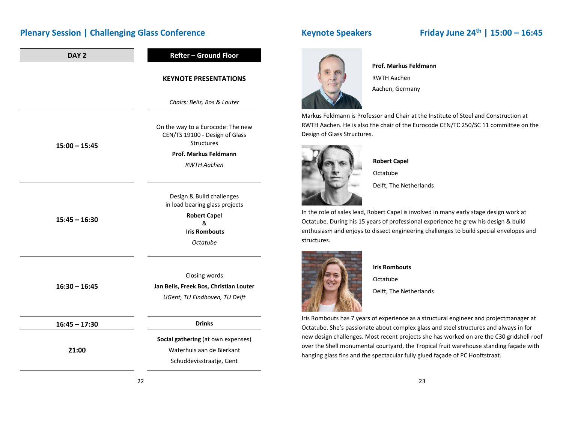### **Plenary Session | Challenging Glass Conference**

| DAY <sub>2</sub> | <b>Refter - Ground Floor</b>                                                                                                |
|------------------|-----------------------------------------------------------------------------------------------------------------------------|
|                  | <b>KEYNOTE PRESENTATIONS</b>                                                                                                |
|                  | Chairs: Belis, Bos & Louter                                                                                                 |
| $15:00 - 15:45$  | On the way to a Eurocode: The new<br>CEN/TS 19100 - Design of Glass<br><b>Structures</b>                                    |
|                  | Prof. Markus Feldmann                                                                                                       |
|                  | <b>RWTH Aachen</b>                                                                                                          |
| $15:45 - 16:30$  | Design & Build challenges<br>in load bearing glass projects<br><b>Robert Capel</b><br>&<br><b>Iris Rombouts</b><br>Octatube |
|                  |                                                                                                                             |
| $16:30 - 16:45$  | Closing words                                                                                                               |
|                  | Jan Belis, Freek Bos, Christian Louter                                                                                      |
|                  | UGent, TU Eindhoven, TU Delft                                                                                               |
| $16:45 - 17:30$  | <b>Drinks</b>                                                                                                               |
| 21:00            | Social gathering (at own expenses)                                                                                          |
|                  | Waterhuis aan de Bierkant                                                                                                   |
|                  | Schuddevisstraatje, Gent                                                                                                    |

### **Keynote Speakers Friday June 24th | 15:00 – 16:45**



**Prof. Markus Feldmann**RWTH Aachen Aachen, Germany

Markus Feldmann is Professor and Chair at the Institute of Steel and Construction at RWTH Aachen. He is also the chair of the Eurocode CEN/TC 250/SC 11 committee on the Design of Glass Structures.



**Robert Capel** Octatube

Delft, The Netherlands

In the role of sales lead, Robert Capel is involved in many early stage design work at Octatube. During his 15 years of professional experience he grew his design & build enthusiasm and enjoys to dissect engineering challenges to build special envelopes and structures.



**Iris Rombouts**

Octatube

Delft, The Netherlands

Iris Rombouts has 7 years of experience as <sup>a</sup> structural engineer and projectmanager at Octatube. She's passionate about complex glass and steel structures and always in for new design challenges. Most recent projects she has worked on are the C30 gridshell roof over the Shell monumental courtyard, the Tropical fruit warehouse standing façade with hanging glass fins and the spectacular fully glued façade of PC Hooftstraat.